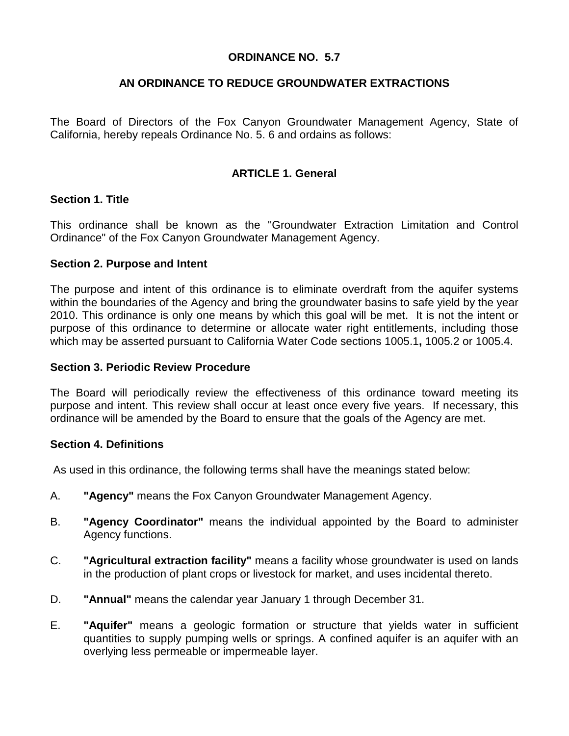# **ORDINANCE NO. 5.7**

# **AN ORDINANCE TO REDUCE GROUNDWATER EXTRACTIONS**

The Board of Directors of the Fox Canyon Groundwater Management Agency, State of California, hereby repeals Ordinance No. 5. 6 and ordains as follows:

# **ARTICLE 1. General**

## **Section 1. Title**

This ordinance shall be known as the "Groundwater Extraction Limitation and Control Ordinance" of the Fox Canyon Groundwater Management Agency.

#### **Section 2. Purpose and Intent**

The purpose and intent of this ordinance is to eliminate overdraft from the aquifer systems within the boundaries of the Agency and bring the groundwater basins to safe yield by the year 2010. This ordinance is only one means by which this goal will be met. It is not the intent or purpose of this ordinance to determine or allocate water right entitlements, including those which may be asserted pursuant to California Water Code sections 1005.1**,** 1005.2 or 1005.4.

#### **Section 3. Periodic Review Procedure**

The Board will periodically review the effectiveness of this ordinance toward meeting its purpose and intent. This review shall occur at least once every five years. If necessary, this ordinance will be amended by the Board to ensure that the goals of the Agency are met.

#### **Section 4. Definitions**

As used in this ordinance, the following terms shall have the meanings stated below:

- A. **"Agency"** means the Fox Canyon Groundwater Management Agency.
- B. **"Agency Coordinator"** means the individual appointed by the Board to administer Agency functions.
- C. **"Agricultural extraction facility"** means a facility whose groundwater is used on lands in the production of plant crops or livestock for market, and uses incidental thereto.
- D. **"Annual"** means the calendar year January 1 through December 31.
- E. **"Aquifer"** means a geologic formation or structure that yields water in sufficient quantities to supply pumping wells or springs. A confined aquifer is an aquifer with an overlying less permeable or impermeable layer.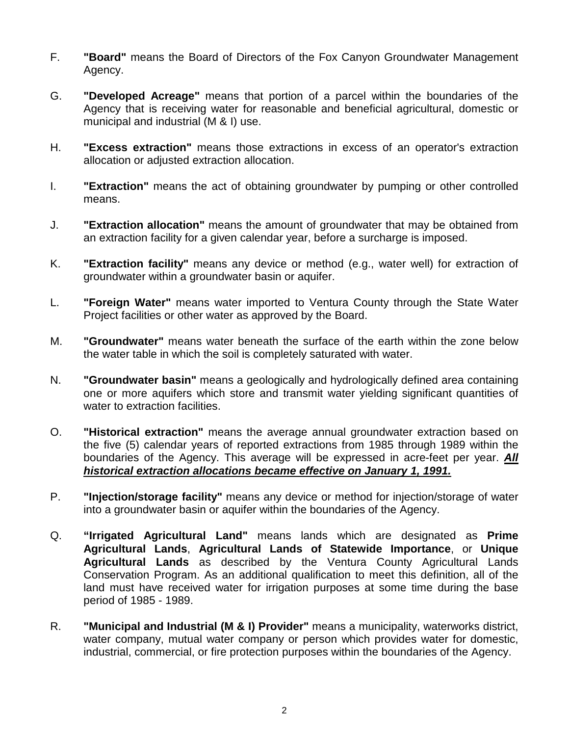- F. **"Board"** means the Board of Directors of the Fox Canyon Groundwater Management Agency.
- G. **"Developed Acreage"** means that portion of a parcel within the boundaries of the Agency that is receiving water for reasonable and beneficial agricultural, domestic or municipal and industrial (M & I) use.
- H. **"Excess extraction"** means those extractions in excess of an operator's extraction allocation or adjusted extraction allocation.
- I. **"Extraction"** means the act of obtaining groundwater by pumping or other controlled means.
- J. **"Extraction allocation"** means the amount of groundwater that may be obtained from an extraction facility for a given calendar year, before a surcharge is imposed.
- K. **"Extraction facility"** means any device or method (e.g., water well) for extraction of groundwater within a groundwater basin or aquifer.
- L. **"Foreign Water"** means water imported to Ventura County through the State Water Project facilities or other water as approved by the Board.
- M. **"Groundwater"** means water beneath the surface of the earth within the zone below the water table in which the soil is completely saturated with water.
- N. **"Groundwater basin"** means a geologically and hydrologically defined area containing one or more aquifers which store and transmit water yielding significant quantities of water to extraction facilities.
- O. **"Historical extraction"** means the average annual groundwater extraction based on the five (5) calendar years of reported extractions from 1985 through 1989 within the boundaries of the Agency. This average will be expressed in acre-feet per year. *All historical extraction allocations became effective on January 1, 1991.*
- P. **"Injection/storage facility"** means any device or method for injection/storage of water into a groundwater basin or aquifer within the boundaries of the Agency.
- Q. **"Irrigated Agricultural Land"** means lands which are designated as **Prime Agricultural Lands**, **Agricultural Lands of Statewide Importance**, or **Unique Agricultural Lands** as described by the Ventura County Agricultural Lands Conservation Program. As an additional qualification to meet this definition, all of the land must have received water for irrigation purposes at some time during the base period of 1985 - 1989.
- R. **"Municipal and Industrial (M & I) Provider"** means a municipality, waterworks district, water company, mutual water company or person which provides water for domestic, industrial, commercial, or fire protection purposes within the boundaries of the Agency.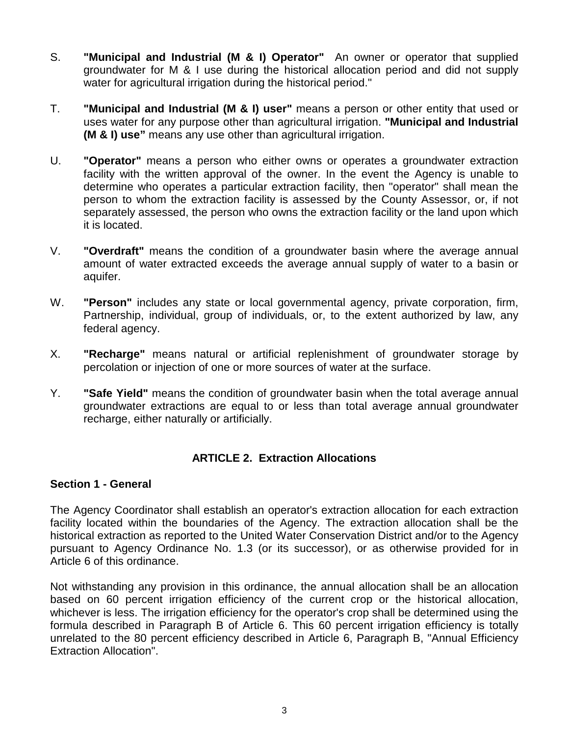- S. **"Municipal and Industrial (M & I) Operator"** An owner or operator that supplied groundwater for M & I use during the historical allocation period and did not supply water for agricultural irrigation during the historical period."
- T. **"Municipal and Industrial (M & I) user"** means a person or other entity that used or uses water for any purpose other than agricultural irrigation. **"Municipal and Industrial (M & I) use"** means any use other than agricultural irrigation.
- U. **"Operator"** means a person who either owns or operates a groundwater extraction facility with the written approval of the owner. In the event the Agency is unable to determine who operates a particular extraction facility, then "operator" shall mean the person to whom the extraction facility is assessed by the County Assessor, or, if not separately assessed, the person who owns the extraction facility or the land upon which it is located.
- V. **"Overdraft"** means the condition of a groundwater basin where the average annual amount of water extracted exceeds the average annual supply of water to a basin or aquifer.
- W. **"Person"** includes any state or local governmental agency, private corporation, firm, Partnership, individual, group of individuals, or, to the extent authorized by law, any federal agency.
- X. **"Recharge"** means natural or artificial replenishment of groundwater storage by percolation or injection of one or more sources of water at the surface.
- Y. **"Safe Yield"** means the condition of groundwater basin when the total average annual groundwater extractions are equal to or less than total average annual groundwater recharge, either naturally or artificially.

## **ARTICLE 2. Extraction Allocations**

#### **Section 1 - General**

The Agency Coordinator shall establish an operator's extraction allocation for each extraction facility located within the boundaries of the Agency. The extraction allocation shall be the historical extraction as reported to the United Water Conservation District and/or to the Agency pursuant to Agency Ordinance No. 1.3 (or its successor), or as otherwise provided for in Article 6 of this ordinance.

Not withstanding any provision in this ordinance, the annual allocation shall be an allocation based on 60 percent irrigation efficiency of the current crop or the historical allocation, whichever is less. The irrigation efficiency for the operator's crop shall be determined using the formula described in Paragraph B of Article 6. This 60 percent irrigation efficiency is totally unrelated to the 80 percent efficiency described in Article 6, Paragraph B, "Annual Efficiency Extraction Allocation".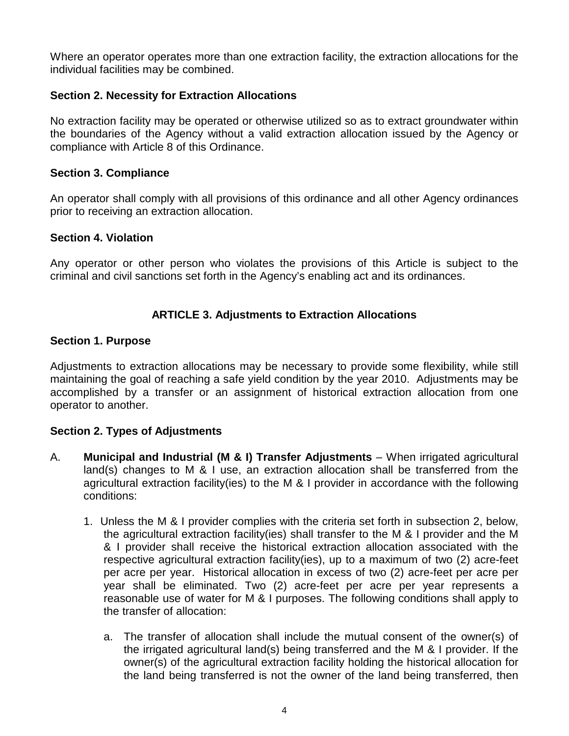Where an operator operates more than one extraction facility, the extraction allocations for the individual facilities may be combined.

# **Section 2. Necessity for Extraction Allocations**

No extraction facility may be operated or otherwise utilized so as to extract groundwater within the boundaries of the Agency without a valid extraction allocation issued by the Agency or compliance with Article 8 of this Ordinance.

## **Section 3. Compliance**

An operator shall comply with all provisions of this ordinance and all other Agency ordinances prior to receiving an extraction allocation.

#### **Section 4. Violation**

Any operator or other person who violates the provisions of this Article is subject to the criminal and civil sanctions set forth in the Agency's enabling act and its ordinances.

## **ARTICLE 3. Adjustments to Extraction Allocations**

#### **Section 1. Purpose**

Adjustments to extraction allocations may be necessary to provide some flexibility, while still maintaining the goal of reaching a safe yield condition by the year 2010. Adjustments may be accomplished by a transfer or an assignment of historical extraction allocation from one operator to another.

## **Section 2. Types of Adjustments**

- A. **Municipal and Industrial (M & I) Transfer Adjustments** When irrigated agricultural land(s) changes to M & I use, an extraction allocation shall be transferred from the agricultural extraction facility(ies) to the M & I provider in accordance with the following conditions:
	- 1. Unless the M & I provider complies with the criteria set forth in subsection 2, below, the agricultural extraction facility(ies) shall transfer to the M & I provider and the M & I provider shall receive the historical extraction allocation associated with the respective agricultural extraction facility(ies), up to a maximum of two (2) acre-feet per acre per year. Historical allocation in excess of two (2) acre-feet per acre per year shall be eliminated. Two (2) acre-feet per acre per year represents a reasonable use of water for M & I purposes. The following conditions shall apply to the transfer of allocation:
		- a. The transfer of allocation shall include the mutual consent of the owner(s) of the irrigated agricultural land(s) being transferred and the M & I provider. If the owner(s) of the agricultural extraction facility holding the historical allocation for the land being transferred is not the owner of the land being transferred, then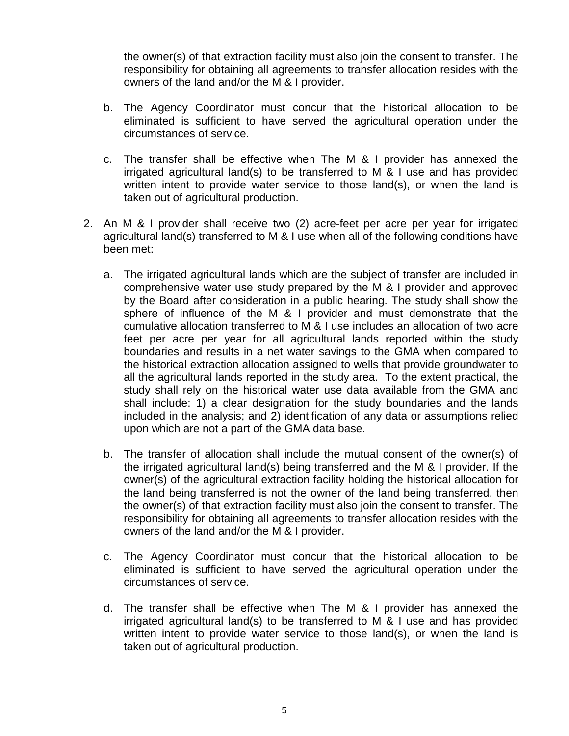the owner(s) of that extraction facility must also join the consent to transfer. The responsibility for obtaining all agreements to transfer allocation resides with the owners of the land and/or the M & I provider.

- b. The Agency Coordinator must concur that the historical allocation to be eliminated is sufficient to have served the agricultural operation under the circumstances of service.
- c. The transfer shall be effective when The M & I provider has annexed the irrigated agricultural land(s) to be transferred to M & I use and has provided written intent to provide water service to those land(s), or when the land is taken out of agricultural production.
- 2. An M & I provider shall receive two (2) acre-feet per acre per year for irrigated agricultural land(s) transferred to M & I use when all of the following conditions have been met:
	- a. The irrigated agricultural lands which are the subject of transfer are included in comprehensive water use study prepared by the M & I provider and approved by the Board after consideration in a public hearing. The study shall show the sphere of influence of the M & I provider and must demonstrate that the cumulative allocation transferred to M & I use includes an allocation of two acre feet per acre per year for all agricultural lands reported within the study boundaries and results in a net water savings to the GMA when compared to the historical extraction allocation assigned to wells that provide groundwater to all the agricultural lands reported in the study area. To the extent practical, the study shall rely on the historical water use data available from the GMA and shall include: 1) a clear designation for the study boundaries and the lands included in the analysis; and 2) identification of any data or assumptions relied upon which are not a part of the GMA data base.
	- b. The transfer of allocation shall include the mutual consent of the owner(s) of the irrigated agricultural land(s) being transferred and the M & I provider. If the owner(s) of the agricultural extraction facility holding the historical allocation for the land being transferred is not the owner of the land being transferred, then the owner(s) of that extraction facility must also join the consent to transfer. The responsibility for obtaining all agreements to transfer allocation resides with the owners of the land and/or the M & I provider.
	- c. The Agency Coordinator must concur that the historical allocation to be eliminated is sufficient to have served the agricultural operation under the circumstances of service.
	- d. The transfer shall be effective when The M & I provider has annexed the irrigated agricultural land(s) to be transferred to M & I use and has provided written intent to provide water service to those land(s), or when the land is taken out of agricultural production.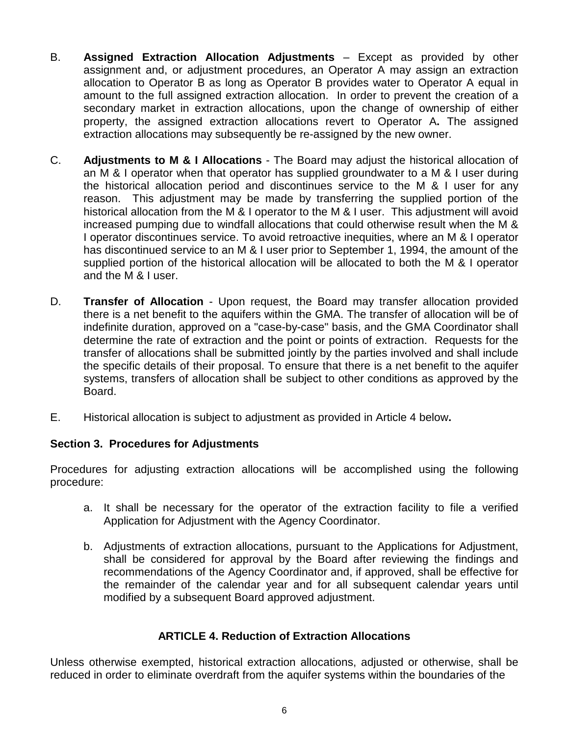- B. **Assigned Extraction Allocation Adjustments** Except as provided by other assignment and, or adjustment procedures, an Operator A may assign an extraction allocation to Operator B as long as Operator B provides water to Operator A equal in amount to the full assigned extraction allocation. In order to prevent the creation of a secondary market in extraction allocations, upon the change of ownership of either property, the assigned extraction allocations revert to Operator A**.** The assigned extraction allocations may subsequently be re-assigned by the new owner.
- C. **Adjustments to M & I Allocations** The Board may adjust the historical allocation of an M & I operator when that operator has supplied groundwater to a M & I user during the historical allocation period and discontinues service to the M & I user for any reason. This adjustment may be made by transferring the supplied portion of the historical allocation from the M & I operator to the M & I user. This adjustment will avoid increased pumping due to windfall allocations that could otherwise result when the M & I operator discontinues service. To avoid retroactive inequities, where an M & I operator has discontinued service to an M & I user prior to September 1, 1994, the amount of the supplied portion of the historical allocation will be allocated to both the M & I operator and the M & I user.
- D. **Transfer of Allocation** Upon request, the Board may transfer allocation provided there is a net benefit to the aquifers within the GMA. The transfer of allocation will be of indefinite duration, approved on a "case-by-case" basis, and the GMA Coordinator shall determine the rate of extraction and the point or points of extraction. Requests for the transfer of allocations shall be submitted jointly by the parties involved and shall include the specific details of their proposal. To ensure that there is a net benefit to the aquifer systems, transfers of allocation shall be subject to other conditions as approved by the Board.
- E. Historical allocation is subject to adjustment as provided in Article 4 below**.**

# **Section 3. Procedures for Adjustments**

Procedures for adjusting extraction allocations will be accomplished using the following procedure:

- a. It shall be necessary for the operator of the extraction facility to file a verified Application for Adjustment with the Agency Coordinator.
- b. Adjustments of extraction allocations, pursuant to the Applications for Adjustment, shall be considered for approval by the Board after reviewing the findings and recommendations of the Agency Coordinator and, if approved, shall be effective for the remainder of the calendar year and for all subsequent calendar years until modified by a subsequent Board approved adjustment.

# **ARTICLE 4. Reduction of Extraction Allocations**

Unless otherwise exempted, historical extraction allocations, adjusted or otherwise, shall be reduced in order to eliminate overdraft from the aquifer systems within the boundaries of the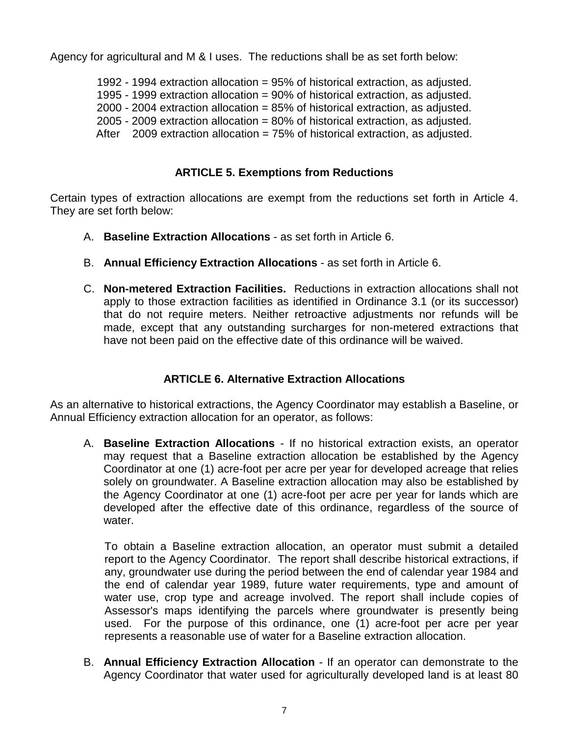Agency for agricultural and M & I uses. The reductions shall be as set forth below:

- 1992 1994 extraction allocation = 95% of historical extraction, as adjusted.
- 1995 1999 extraction allocation = 90% of historical extraction, as adjusted.
- 2000 2004 extraction allocation = 85% of historical extraction, as adjusted.
- 2005 2009 extraction allocation = 80% of historical extraction, as adjusted.
- After  $2009$  extraction allocation = 75% of historical extraction, as adjusted.

# **ARTICLE 5. Exemptions from Reductions**

Certain types of extraction allocations are exempt from the reductions set forth in Article 4. They are set forth below:

- A. **Baseline Extraction Allocations** as set forth in Article 6.
- B. **Annual Efficiency Extraction Allocations** as set forth in Article 6.
- C. **Non-metered Extraction Facilities.** Reductions in extraction allocations shall not apply to those extraction facilities as identified in Ordinance 3.1 (or its successor) that do not require meters. Neither retroactive adjustments nor refunds will be made, except that any outstanding surcharges for non-metered extractions that have not been paid on the effective date of this ordinance will be waived.

## **ARTICLE 6. Alternative Extraction Allocations**

As an alternative to historical extractions, the Agency Coordinator may establish a Baseline, or Annual Efficiency extraction allocation for an operator, as follows:

A. **Baseline Extraction Allocations** - If no historical extraction exists, an operator may request that a Baseline extraction allocation be established by the Agency Coordinator at one (1) acre-foot per acre per year for developed acreage that relies solely on groundwater. A Baseline extraction allocation may also be established by the Agency Coordinator at one (1) acre-foot per acre per year for lands which are developed after the effective date of this ordinance, regardless of the source of water.

To obtain a Baseline extraction allocation, an operator must submit a detailed report to the Agency Coordinator. The report shall describe historical extractions, if any, groundwater use during the period between the end of calendar year 1984 and the end of calendar year 1989, future water requirements, type and amount of water use, crop type and acreage involved. The report shall include copies of Assessor's maps identifying the parcels where groundwater is presently being used. For the purpose of this ordinance, one (1) acre-foot per acre per year represents a reasonable use of water for a Baseline extraction allocation.

B. **Annual Efficiency Extraction Allocation** - If an operator can demonstrate to the Agency Coordinator that water used for agriculturally developed land is at least 80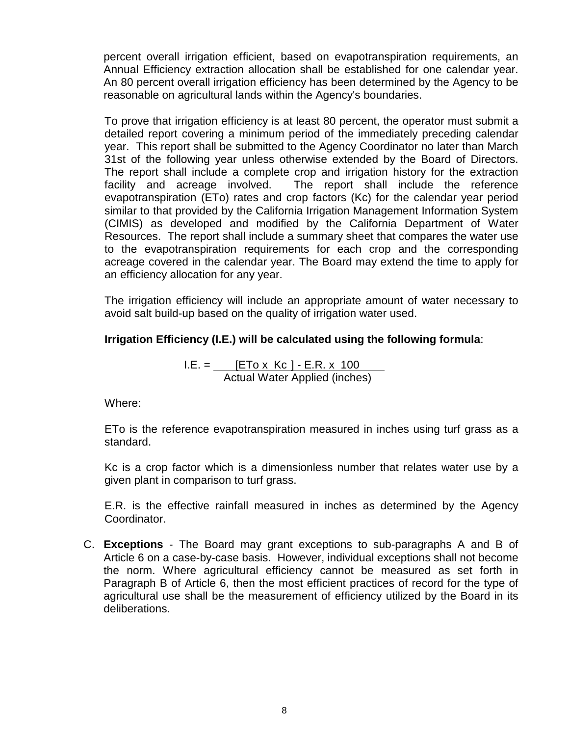percent overall irrigation efficient, based on evapotranspiration requirements, an Annual Efficiency extraction allocation shall be established for one calendar year. An 80 percent overall irrigation efficiency has been determined by the Agency to be reasonable on agricultural lands within the Agency's boundaries.

To prove that irrigation efficiency is at least 80 percent, the operator must submit a detailed report covering a minimum period of the immediately preceding calendar year. This report shall be submitted to the Agency Coordinator no later than March 31st of the following year unless otherwise extended by the Board of Directors. The report shall include a complete crop and irrigation history for the extraction facility and acreage involved. The report shall include the reference evapotranspiration (ETo) rates and crop factors (Kc) for the calendar year period similar to that provided by the California Irrigation Management Information System (CIMIS) as developed and modified by the California Department of Water Resources. The report shall include a summary sheet that compares the water use to the evapotranspiration requirements for each crop and the corresponding acreage covered in the calendar year. The Board may extend the time to apply for an efficiency allocation for any year.

The irrigation efficiency will include an appropriate amount of water necessary to avoid salt build-up based on the quality of irrigation water used.

# **Irrigation Efficiency (I.E.) will be calculated using the following formula**:

I.E. = [ETo x Kc ] - E.R. x 100 Actual Water Applied (inches)

Where:

ETo is the reference evapotranspiration measured in inches using turf grass as a standard.

Kc is a crop factor which is a dimensionless number that relates water use by a given plant in comparison to turf grass.

E.R. is the effective rainfall measured in inches as determined by the Agency Coordinator.

C. **Exceptions** - The Board may grant exceptions to sub-paragraphs A and B of Article 6 on a case-by-case basis. However, individual exceptions shall not become the norm. Where agricultural efficiency cannot be measured as set forth in Paragraph B of Article 6, then the most efficient practices of record for the type of agricultural use shall be the measurement of efficiency utilized by the Board in its deliberations.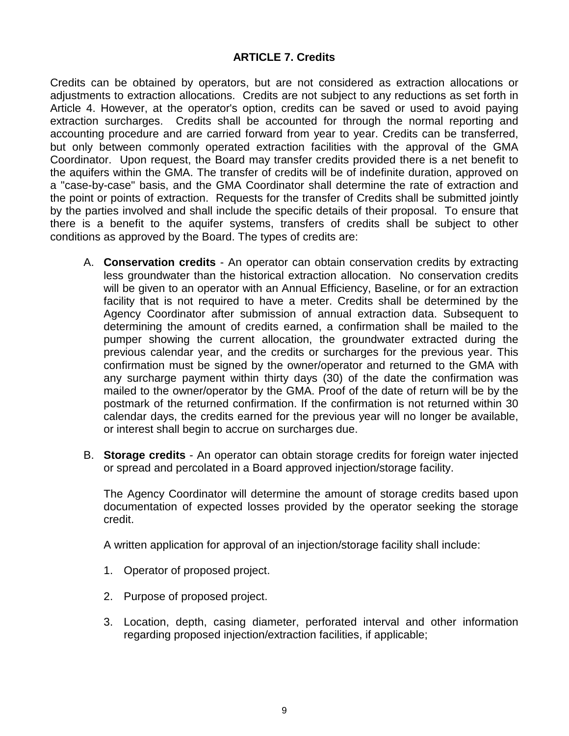# **ARTICLE 7. Credits**

Credits can be obtained by operators, but are not considered as extraction allocations or adjustments to extraction allocations. Credits are not subject to any reductions as set forth in Article 4. However, at the operator's option, credits can be saved or used to avoid paying extraction surcharges. Credits shall be accounted for through the normal reporting and accounting procedure and are carried forward from year to year. Credits can be transferred, but only between commonly operated extraction facilities with the approval of the GMA Coordinator. Upon request, the Board may transfer credits provided there is a net benefit to the aquifers within the GMA. The transfer of credits will be of indefinite duration, approved on a "case-by-case" basis, and the GMA Coordinator shall determine the rate of extraction and the point or points of extraction. Requests for the transfer of Credits shall be submitted jointly by the parties involved and shall include the specific details of their proposal. To ensure that there is a benefit to the aquifer systems, transfers of credits shall be subject to other conditions as approved by the Board. The types of credits are:

- A. **Conservation credits** An operator can obtain conservation credits by extracting less groundwater than the historical extraction allocation. No conservation credits will be given to an operator with an Annual Efficiency, Baseline, or for an extraction facility that is not required to have a meter. Credits shall be determined by the Agency Coordinator after submission of annual extraction data. Subsequent to determining the amount of credits earned, a confirmation shall be mailed to the pumper showing the current allocation, the groundwater extracted during the previous calendar year, and the credits or surcharges for the previous year. This confirmation must be signed by the owner/operator and returned to the GMA with any surcharge payment within thirty days (30) of the date the confirmation was mailed to the owner/operator by the GMA. Proof of the date of return will be by the postmark of the returned confirmation. If the confirmation is not returned within 30 calendar days, the credits earned for the previous year will no longer be available, or interest shall begin to accrue on surcharges due.
- B. **Storage credits** An operator can obtain storage credits for foreign water injected or spread and percolated in a Board approved injection/storage facility.

The Agency Coordinator will determine the amount of storage credits based upon documentation of expected losses provided by the operator seeking the storage credit.

A written application for approval of an injection/storage facility shall include:

- 1. Operator of proposed project.
- 2. Purpose of proposed project.
- 3. Location, depth, casing diameter, perforated interval and other information regarding proposed injection/extraction facilities, if applicable;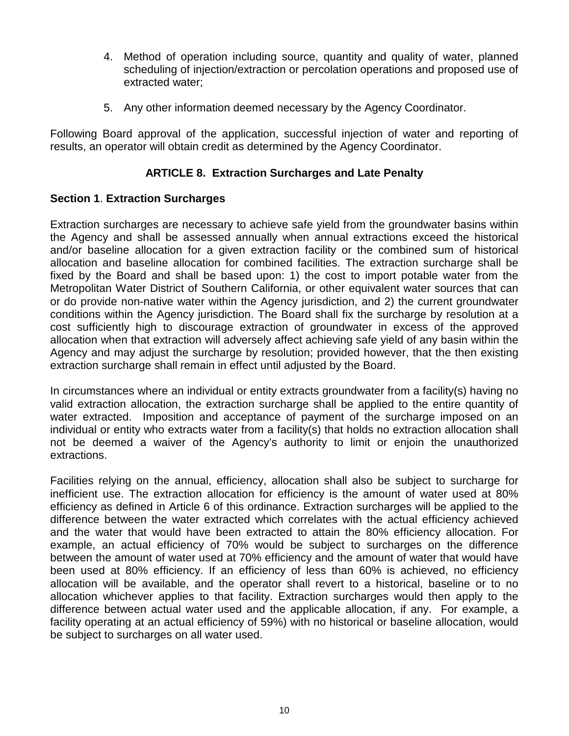- 4. Method of operation including source, quantity and quality of water, planned scheduling of injection/extraction or percolation operations and proposed use of extracted water;
- 5. Any other information deemed necessary by the Agency Coordinator.

Following Board approval of the application, successful injection of water and reporting of results, an operator will obtain credit as determined by the Agency Coordinator.

# **ARTICLE 8. Extraction Surcharges and Late Penalty**

# **Section 1**. **Extraction Surcharges**

Extraction surcharges are necessary to achieve safe yield from the groundwater basins within the Agency and shall be assessed annually when annual extractions exceed the historical and/or baseline allocation for a given extraction facility or the combined sum of historical allocation and baseline allocation for combined facilities. The extraction surcharge shall be fixed by the Board and shall be based upon: 1) the cost to import potable water from the Metropolitan Water District of Southern California, or other equivalent water sources that can or do provide non-native water within the Agency jurisdiction, and 2) the current groundwater conditions within the Agency jurisdiction. The Board shall fix the surcharge by resolution at a cost sufficiently high to discourage extraction of groundwater in excess of the approved allocation when that extraction will adversely affect achieving safe yield of any basin within the Agency and may adjust the surcharge by resolution; provided however, that the then existing extraction surcharge shall remain in effect until adjusted by the Board.

In circumstances where an individual or entity extracts groundwater from a facility(s) having no valid extraction allocation, the extraction surcharge shall be applied to the entire quantity of water extracted. Imposition and acceptance of payment of the surcharge imposed on an individual or entity who extracts water from a facility(s) that holds no extraction allocation shall not be deemed a waiver of the Agency's authority to limit or enjoin the unauthorized extractions.

Facilities relying on the annual, efficiency, allocation shall also be subject to surcharge for inefficient use. The extraction allocation for efficiency is the amount of water used at 80% efficiency as defined in Article 6 of this ordinance. Extraction surcharges will be applied to the difference between the water extracted which correlates with the actual efficiency achieved and the water that would have been extracted to attain the 80% efficiency allocation. For example, an actual efficiency of 70% would be subject to surcharges on the difference between the amount of water used at 70% efficiency and the amount of water that would have been used at 80% efficiency. If an efficiency of less than 60% is achieved, no efficiency allocation will be available, and the operator shall revert to a historical, baseline or to no allocation whichever applies to that facility. Extraction surcharges would then apply to the difference between actual water used and the applicable allocation, if any. For example, a facility operating at an actual efficiency of 59%) with no historical or baseline allocation, would be subject to surcharges on all water used.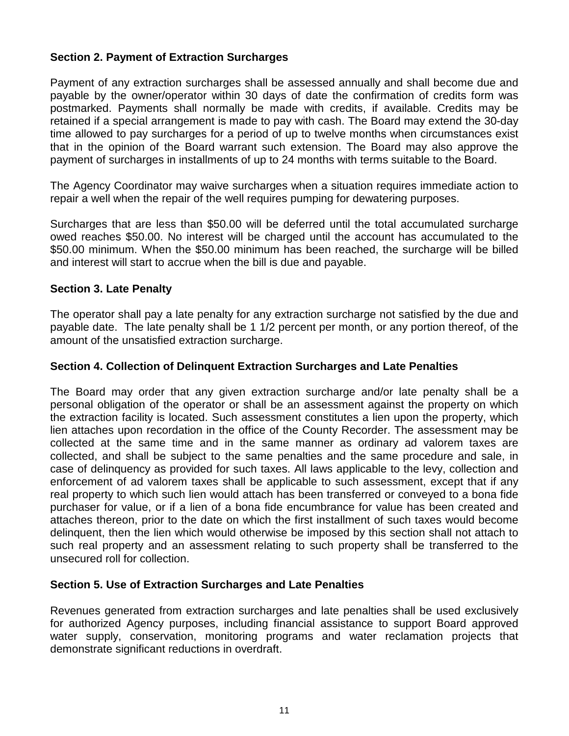# **Section 2. Payment of Extraction Surcharges**

Payment of any extraction surcharges shall be assessed annually and shall become due and payable by the owner/operator within 30 days of date the confirmation of credits form was postmarked. Payments shall normally be made with credits, if available. Credits may be retained if a special arrangement is made to pay with cash. The Board may extend the 30-day time allowed to pay surcharges for a period of up to twelve months when circumstances exist that in the opinion of the Board warrant such extension. The Board may also approve the payment of surcharges in installments of up to 24 months with terms suitable to the Board.

The Agency Coordinator may waive surcharges when a situation requires immediate action to repair a well when the repair of the well requires pumping for dewatering purposes.

Surcharges that are less than \$50.00 will be deferred until the total accumulated surcharge owed reaches \$50.00. No interest will be charged until the account has accumulated to the \$50.00 minimum. When the \$50.00 minimum has been reached, the surcharge will be billed and interest will start to accrue when the bill is due and payable.

#### **Section 3. Late Penalty**

The operator shall pay a late penalty for any extraction surcharge not satisfied by the due and payable date. The late penalty shall be 1 1/2 percent per month, or any portion thereof, of the amount of the unsatisfied extraction surcharge.

### **Section 4. Collection of Delinquent Extraction Surcharges and Late Penalties**

The Board may order that any given extraction surcharge and/or late penalty shall be a personal obligation of the operator or shall be an assessment against the property on which the extraction facility is located. Such assessment constitutes a lien upon the property, which lien attaches upon recordation in the office of the County Recorder. The assessment may be collected at the same time and in the same manner as ordinary ad valorem taxes are collected, and shall be subject to the same penalties and the same procedure and sale, in case of delinquency as provided for such taxes. All laws applicable to the levy, collection and enforcement of ad valorem taxes shall be applicable to such assessment, except that if any real property to which such lien would attach has been transferred or conveyed to a bona fide purchaser for value, or if a lien of a bona fide encumbrance for value has been created and attaches thereon, prior to the date on which the first installment of such taxes would become delinquent, then the lien which would otherwise be imposed by this section shall not attach to such real property and an assessment relating to such property shall be transferred to the unsecured roll for collection.

## **Section 5. Use of Extraction Surcharges and Late Penalties**

Revenues generated from extraction surcharges and late penalties shall be used exclusively for authorized Agency purposes, including financial assistance to support Board approved water supply, conservation, monitoring programs and water reclamation projects that demonstrate significant reductions in overdraft.